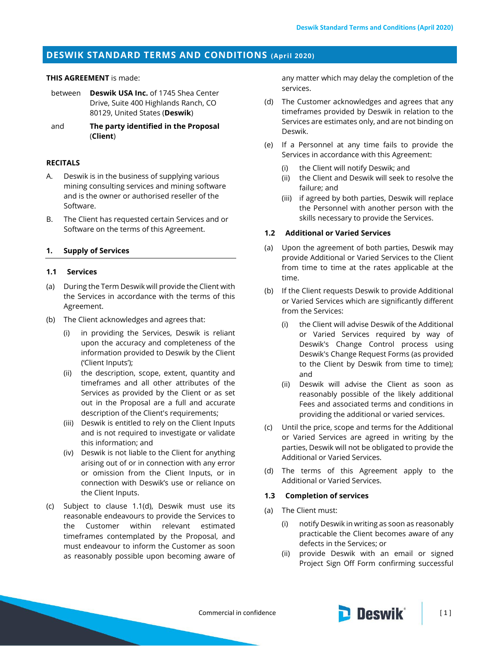# **DESWIK STANDARD TERMS AND CONDITIONS (April 2020)**

## **THIS AGREEMENT** is made:

- between **Deswik USA Inc.** of 1745 Shea Center Drive, Suite 400 Highlands Ranch, CO 80129, United States (**Deswik**)
- and **The party identified in the Proposal**  (**Client**)

### **RECITALS**

- A. Deswik is in the business of supplying various mining consulting services and mining software and is the owner or authorised reseller of the Software.
- B. The Client has requested certain Services and or Software on the terms of this Agreement.

### **1. Supply of Services**

### **1.1 Services**

- (a) During the Term Deswik will provide the Client with the Services in accordance with the terms of this Agreement.
- (b) The Client acknowledges and agrees that:
	- (i) in providing the Services, Deswik is reliant upon the accuracy and completeness of the information provided to Deswik by the Client ('Client Inputs');
	- (ii) the description, scope, extent, quantity and timeframes and all other attributes of the Services as provided by the Client or as set out in the Proposal are a full and accurate description of the Client's requirements;
	- (iii) Deswik is entitled to rely on the Client Inputs and is not required to investigate or validate this information; and
	- (iv) Deswik is not liable to the Client for anything arising out of or in connection with any error or omission from the Client Inputs, or in connection with Deswik's use or reliance on the Client Inputs.
- (c) Subject to clause [1.1\(d\),](#page-0-0) Deswik must use its reasonable endeavours to provide the Services to the Customer within relevant estimated timeframes contemplated by the Proposal, and must endeavour to inform the Customer as soon as reasonably possible upon becoming aware of

any matter which may delay the completion of the services.

- <span id="page-0-0"></span>(d) The Customer acknowledges and agrees that any timeframes provided by Deswik in relation to the Services are estimates only, and are not binding on Deswik.
- (e) If a Personnel at any time fails to provide the Services in accordance with this Agreement:
	- (i) the Client will notify Deswik; and
	- (ii) the Client and Deswik will seek to resolve the failure; and
	- (iii) if agreed by both parties, Deswik will replace the Personnel with another person with the skills necessary to provide the Services.

### **1.2 Additional or Varied Services**

- (a) Upon the agreement of both parties, Deswik may provide Additional or Varied Services to the Client from time to time at the rates applicable at the time.
- (b) If the Client requests Deswik to provide Additional or Varied Services which are significantly different from the Services:
	- (i) the Client will advise Deswik of the Additional or Varied Services required by way of Deswik's Change Control process using Deswik's Change Request Forms (as provided to the Client by Deswik from time to time); and
	- (ii) Deswik will advise the Client as soon as reasonably possible of the likely additional Fees and associated terms and conditions in providing the additional or varied services.
- (c) Until the price, scope and terms for the Additional or Varied Services are agreed in writing by the parties, Deswik will not be obligated to provide the Additional or Varied Services.
- (d) The terms of this Agreement apply to the Additional or Varied Services.

# **1.3 Completion of services**

- <span id="page-0-1"></span>(a) The Client must:
	- (i) notify Deswik in writing as soon as reasonably practicable the Client becomes aware of any defects in the Services; or
	- (ii) provide Deswik with an email or signed Project Sign Off Form confirming successful

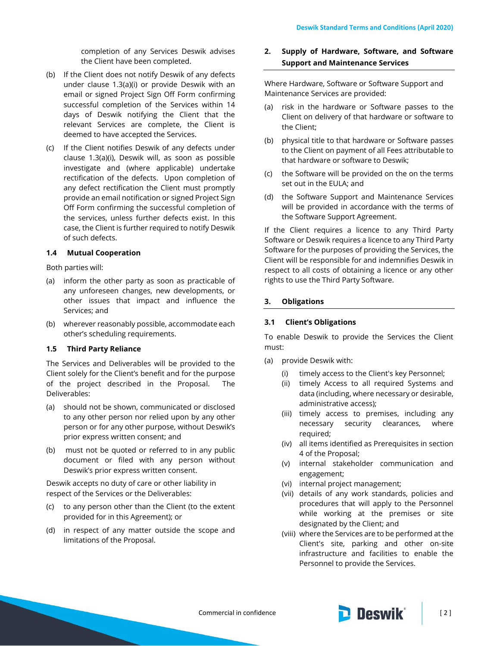completion of any Services Deswik advises the Client have been completed.

- (b) If the Client does not notify Deswik of any defects under clause [1.3\(a\)\(i\)](#page-0-1) or provide Deswik with an email or signed Project Sign Off Form confirming successful completion of the Services within 14 days of Deswik notifying the Client that the relevant Services are complete, the Client is deemed to have accepted the Services.
- (c) If the Client notifies Deswik of any defects under clause [1.3\(a\)\(i\),](#page-0-1) Deswik will, as soon as possible investigate and (where applicable) undertake rectification of the defects. Upon completion of any defect rectification the Client must promptly provide an email notification or signed Project Sign Off Form confirming the successful completion of the services, unless further defects exist. In this case, the Client is further required to notify Deswik of such defects.

# **1.4 Mutual Cooperation**

Both parties will:

- (a) inform the other party as soon as practicable of any unforeseen changes, new developments, or other issues that impact and influence the Services; and
- (b) wherever reasonably possible, accommodate each other's scheduling requirements.

### **1.5 Third Party Reliance**

The Services and Deliverables will be provided to the Client solely for the Client's benefit and for the purpose of the project described in the Proposal. The Deliverables:

- (a) should not be shown, communicated or disclosed to any other person nor relied upon by any other person or for any other purpose, without Deswik's prior express written consent; and
- (b) must not be quoted or referred to in any public document or filed with any person without Deswik's prior express written consent.

Deswik accepts no duty of care or other liability in respect of the Services or the Deliverables:

- (c) to any person other than the Client (to the extent provided for in this Agreement); or
- (d) in respect of any matter outside the scope and limitations of the Proposal.

# **2. Supply of Hardware, Software, and Software Support and Maintenance Services**

Where Hardware, Software or Software Support and Maintenance Services are provided:

- (a) risk in the hardware or Software passes to the Client on delivery of that hardware or software to the Client;
- (b) physical title to that hardware or Software passes to the Client on payment of all Fees attributable to that hardware or software to Deswik;
- (c) the Software will be provided on the on the terms set out in the EULA; and
- (d) the Software Support and Maintenance Services will be provided in accordance with the terms of the Software Support Agreement.

If the Client requires a licence to any Third Party Software or Deswik requires a licence to any Third Party Software for the purposes of providing the Services, the Client will be responsible for and indemnifies Deswik in respect to all costs of obtaining a licence or any other rights to use the Third Party Software.

### **3. Obligations**

### <span id="page-1-0"></span>**3.1 Client's Obligations**

To enable Deswik to provide the Services the Client must:

- (a) provide Deswik with:
	- (i) timely access to the Client's key Personnel;
	- (ii) timely Access to all required Systems and data (including, where necessary or desirable, administrative access);
	- (iii) timely access to premises, including any necessary security clearances, where required;
	- (iv) all items identified as Prerequisites in section 4 of the Proposal;
	- (v) internal stakeholder communication and engagement;
	- (vi) internal project management;
	- (vii) details of any work standards, policies and procedures that will apply to the Personnel while working at the premises or site designated by the Client; and
	- (viii) where the Services are to be performed at the Client's site, parking and other on-site infrastructure and facilities to enable the Personnel to provide the Services.

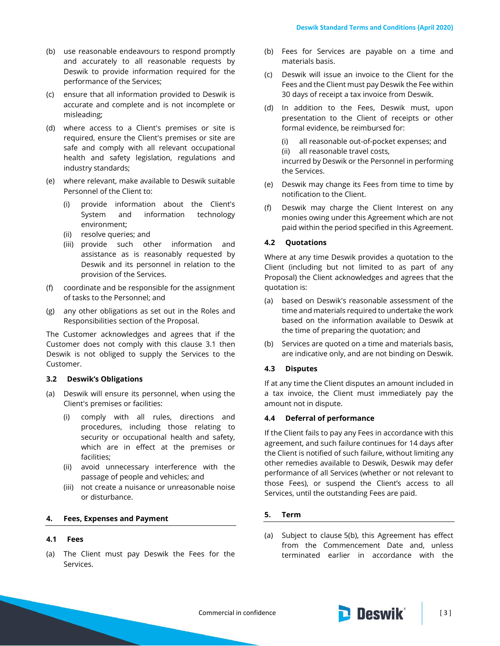- (b) use reasonable endeavours to respond promptly and accurately to all reasonable requests by Deswik to provide information required for the performance of the Services;
- (c) ensure that all information provided to Deswik is accurate and complete and is not incomplete or misleading;
- (d) where access to a Client's premises or site is required, ensure the Client's premises or site are safe and comply with all relevant occupational health and safety legislation, regulations and industry standards;
- (e) where relevant, make available to Deswik suitable Personnel of the Client to:
	- (i) provide information about the Client's System and information technology environment;
	- (ii) resolve queries; and
	- (iii) provide such other information and assistance as is reasonably requested by Deswik and its personnel in relation to the provision of the Services.
- (f) coordinate and be responsible for the assignment of tasks to the Personnel; and
- (g) any other obligations as set out in the Roles and Responsibilities section of the Proposal.

The Customer acknowledges and agrees that if the Customer does not comply with this clause [3.1](#page-1-0) then Deswik is not obliged to supply the Services to the Customer.

### **3.2 Deswik's Obligations**

- (a) Deswik will ensure its personnel, when using the Client's premises or facilities:
	- (i) comply with all rules, directions and procedures, including those relating to security or occupational health and safety, which are in effect at the premises or facilities;
	- (ii) avoid unnecessary interference with the passage of people and vehicles; and
	- (iii) not create a nuisance or unreasonable noise or disturbance.

### **4. Fees, Expenses and Payment**

### **4.1 Fees**

(a) The Client must pay Deswik the Fees for the Services.

- (b) Fees for Services are payable on a time and materials basis.
- (c) Deswik will issue an invoice to the Client for the Fees and the Client must pay Deswik the Fee within 30 days of receipt a tax invoice from Deswik.
- (d) In addition to the Fees, Deswik must, upon presentation to the Client of receipts or other formal evidence, be reimbursed for:

(i) all reasonable out-of-pocket expenses; and

(ii) all reasonable travel costs,

incurred by Deswik or the Personnel in performing the Services.

- (e) Deswik may change its Fees from time to time by notification to the Client.
- (f) Deswik may charge the Client Interest on any monies owing under this Agreement which are not paid within the period specified in this Agreement.

### **4.2 Quotations**

Where at any time Deswik provides a quotation to the Client (including but not limited to as part of any Proposal) the Client acknowledges and agrees that the quotation is:

- (a) based on Deswik's reasonable assessment of the time and materials required to undertake the work based on the information available to Deswik at the time of preparing the quotation; and
- (b) Services are quoted on a time and materials basis, are indicative only, and are not binding on Deswik.

# **4.3 Disputes**

If at any time the Client disputes an amount included in a tax invoice, the Client must immediately pay the amount not in dispute.

# **4.4 Deferral of performance**

If the Client fails to pay any Fees in accordance with this agreement, and such failure continues for 14 days after the Client is notified of such failure, without limiting any other remedies available to Deswik, Deswik may defer performance of all Services (whether or not relevant to those Fees), or suspend the Client's access to all Services, until the outstanding Fees are paid.

### **5. Term**

(a) Subject to clause [5\(b\),](#page-3-0) this Agreement has effect from the Commencement Date and, unless terminated earlier in accordance with the

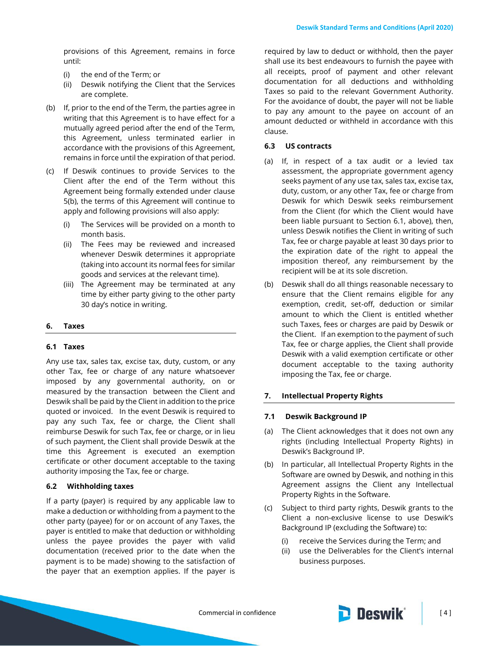provisions of this Agreement, remains in force until:

- (i) the end of the Term; or
- (ii) Deswik notifying the Client that the Services are complete.
- <span id="page-3-0"></span>(b) If, prior to the end of the Term, the parties agree in writing that this Agreement is to have effect for a mutually agreed period after the end of the Term, this Agreement, unless terminated earlier in accordance with the provisions of this Agreement, remains in force until the expiration of that period.
- <span id="page-3-1"></span>(c) If Deswik continues to provide Services to the Client after the end of the Term without this Agreement being formally extended under clause [5\(b\),](#page-3-0) the terms of this Agreement will continue to apply and following provisions will also apply:
	- (i) The Services will be provided on a month to month basis.
	- (ii) The Fees may be reviewed and increased whenever Deswik determines it appropriate (taking into account its normal fees for similar goods and services at the relevant time).
	- (iii) The Agreement may be terminated at any time by either party giving to the other party 30 day's notice in writing.

# **6. Taxes**

### **6.1 Taxes**

Any use tax, sales tax, excise tax, duty, custom, or any other Tax, fee or charge of any nature whatsoever imposed by any governmental authority, on or measured by the transaction between the Client and Deswik shall be paid by the Client in addition to the price quoted or invoiced. In the event Deswik is required to pay any such Tax, fee or charge, the Client shall reimburse Deswik for such Tax, fee or charge, or in lieu of such payment, the Client shall provide Deswik at the time this Agreement is executed an exemption certificate or other document acceptable to the taxing authority imposing the Tax, fee or charge.

# **6.2 Withholding taxes**

If a party (payer) is required by any applicable law to make a deduction or withholding from a payment to the other party (payee) for or on account of any Taxes, the payer is entitled to make that deduction or withholding unless the payee provides the payer with valid documentation (received prior to the date when the payment is to be made) showing to the satisfaction of the payer that an exemption applies. If the payer is required by law to deduct or withhold, then the payer shall use its best endeavours to furnish the payee with all receipts, proof of payment and other relevant documentation for all deductions and withholding Taxes so paid to the relevant Government Authority. For the avoidance of doubt, the payer will not be liable to pay any amount to the payee on account of an amount deducted or withheld in accordance with this clause.

## **6.3 US contracts**

- (a) If, in respect of a tax audit or a levied tax assessment, the appropriate government agency seeks payment of any use tax, sales tax, excise tax, duty, custom, or any other Tax, fee or charge from Deswik for which Deswik seeks reimbursement from the Client (for which the Client would have been liable pursuant to Section 6.1, above), then, unless Deswik notifies the Client in writing of such Tax, fee or charge payable at least 30 days prior to the expiration date of the right to appeal the imposition thereof, any reimbursement by the recipient will be at its sole discretion.
- (b) Deswik shall do all things reasonable necessary to ensure that the Client remains eligible for any exemption, credit, set-off, deduction or similar amount to which the Client is entitled whether such Taxes, fees or charges are paid by Deswik or the Client. If an exemption to the payment of such Tax, fee or charge applies, the Client shall provide Deswik with a valid exemption certificate or other document acceptable to the taxing authority imposing the Tax, fee or charge.

# **7. Intellectual Property Rights**

# **7.1 Deswik Background IP**

- (a) The Client acknowledges that it does not own any rights (including Intellectual Property Rights) in Deswik's Background IP.
- (b) In particular, all Intellectual Property Rights in the Software are owned by Deswik, and nothing in this Agreement assigns the Client any Intellectual Property Rights in the Software.
- (c) Subject to third party rights, Deswik grants to the Client a non-exclusive license to use Deswik's Background IP (excluding the Software) to:
	- (i) receive the Services during the Term; and
	- (ii) use the Deliverables for the Client's internal business purposes.

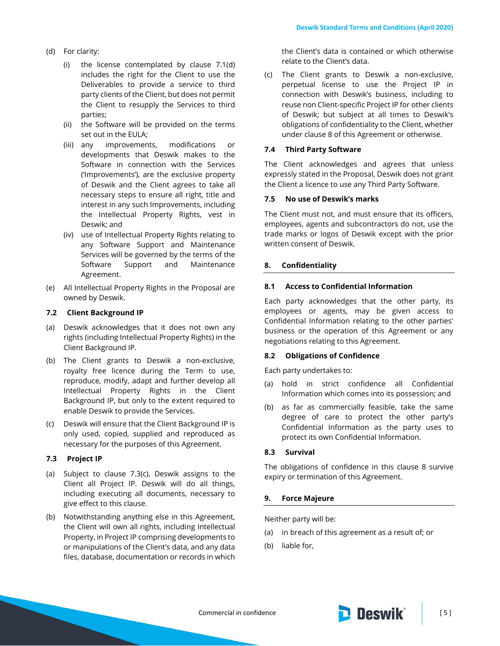- (d) For clarity:
	- (i) the license contemplated by clause 7.1(d) includes the right for the Client to use the Deliverables to provide a service to third party clients of the Client, but does not permit the Client to resupply the Services to third parties;
	- (ii) the Software will be provided on the terms set out in the EULA;
	- (iii) any improvements, modifications or developments that Deswik makes to the Software in connection with the Services ('Improvements'), are the exclusive property of Deswik and the Client agrees to take all necessary steps to ensure all right, title and interest in any such Improvements, including the Intellectual Property Rights, vest in Deswik; and
	- (iv) use of Intellectual Property Rights relating to any Software Support and Maintenance Services will be governed by the terms of the Software Support and Maintenance Agreement.
- (e) All Intellectual Property Rights in the Proposal are owned by Deswik.

### **7.2 Client Background IP**

- (a) Deswik acknowledges that it does not own any rights (including Intellectual Property Rights) in the Client Background IP.
- (b) The Client grants to Deswik a non-exclusive, royalty free licence during the Term to use, reproduce, modify, adapt and further develop all Intellectual Property Rights in the Client Background IP, but only to the extent required to enable Deswik to provide the Services.
- (c) Deswik will ensure that the Client Background IP is only used, copied, supplied and reproduced as necessary for the purposes of this Agreement.

### **7.3 Project IP**

- (a) Subject to clause 7.3(c), Deswik assigns to the Client all Project IP. Deswik will do all things, including executing all documents, necessary to give effect to this clause.
- (b) Notwithstanding anything else in this Agreement, the Client will own all rights, including Intellectual Property, in Project IP comprising developments to or manipulations of the Client's data, and any data files, database, documentation or records in which

the Client's data is contained or which otherwise relate to the Client's data.

(c) The Client grants to Deswik a non-exclusive, perpetual license to use the Project IP in connection with Deswik's business, including to reuse non Client-specific Project IP for other clients of Deswik; but subject at all times to Deswik's obligations of confidentiality to the Client, whether under clause 8 of this Agreement or otherwise.

### **7.4 Third Party Software**

The Client acknowledges and agrees that unless expressly stated in the Proposal, Deswik does not grant the Client a licence to use any Third Party Software.

### **7.5 No use of Deswik's marks**

The Client must not, and must ensure that its officers, employees, agents and subcontractors do not, use the trade marks or logos of Deswik except with the prior written consent of Deswik.

### <span id="page-4-0"></span>**8. Confidentiality**

#### **8.1 Access to Confidential Information**

Each party acknowledges that the other party, its employees or agents, may be given access to Confidential Information relating to the other parties' business or the operation of this Agreement or any negotiations relating to this Agreement.

#### **8.2 Obligations of Confidence**

Each party undertakes to:

- (a) hold in strict confidence all Confidential Information which comes into its possession; and
- (b) as far as commercially feasible, take the same degree of care to protect the other party's Confidential Information as the party uses to protect its own Confidential Information.

### **8.3 Survival**

The obligations of confidence in this clause [8](#page-4-0) survive expiry or termination of this Agreement.

### **9. Force Majeure**

Neither party will be:

- (a) in breach of this agreement as a result of; or
- (b) liable for,

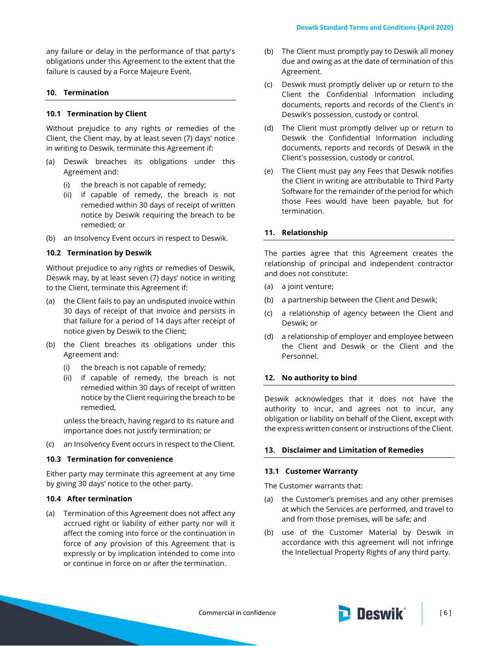any failure or delay in the performance of that party's obligations under this Agreement to the extent that the failure is caused by a Force Majeure Event.

### **10. Termination**

### **10.1 Termination by Client**

Without prejudice to any rights or remedies of the Client, the Client may, by at least seven (7) days' notice in writing to Deswik, terminate this Agreement if:

- (a) Deswik breaches its obligations under this Agreement and:
	- (i) the breach is not capable of remedy;
	- (ii) if capable of remedy, the breach is not remedied within 30 days of receipt of written notice by Deswik requiring the breach to be remedied; or
- (b) an Insolvency Event occurs in respect to Deswik.

#### **10.2 Termination by Deswik**

Without prejudice to any rights or remedies of Deswik, Deswik may, by at least seven (7) days' notice in writing to the Client, terminate this Agreement if:

- (a) the Client fails to pay an undisputed invoice within 30 days of receipt of that invoice and persists in that failure for a period of 14 days after receipt of notice given by Deswik to the Client;
- (b) the Client breaches its obligations under this Agreement and:
	- (i) the breach is not capable of remedy;
	- (ii) if capable of remedy, the breach is not remedied within 30 days of receipt of written notice by the Client requiring the breach to be remedied,

unless the breach, having regard to its nature and importance does not justify termination; or

(c) an Insolvency Event occurs in respect to the Client.

### **10.3 Termination for convenience**

Either party may terminate this agreement at any time by giving 30 days' notice to the other party.

#### **10.4 After termination**

(a) Termination of this Agreement does not affect any accrued right or liability of either party nor will it affect the coming into force or the continuation in force of any provision of this Agreement that is expressly or by implication intended to come into or continue in force on or after the termination.

- (b) The Client must promptly pay to Deswik all money due and owing as at the date of termination of this Agreement.
- (c) Deswik must promptly deliver up or return to the Client the Confidential Information including documents, reports and records of the Client's in Deswik's possession, custody or control.
- (d) The Client must promptly deliver up or return to Deswik the Confidential Information including documents, reports and records of Deswik in the Client's possession, custody or control.
- (e) The Client must pay any Fees that Deswik notifies the Client in writing are attributable to Third Party Software for the remainder of the period for which those Fees would have been payable, but for termination.

### **11. Relationship**

The parties agree that this Agreement creates the relationship of principal and independent contractor and does not constitute:

- (a) a joint venture;
- (b) a partnership between the Client and Deswik;
- (c) a relationship of agency between the Client and Deswik; or
- (d) a relationship of employer and employee between the Client and Deswik or the Client and the Personnel.

### **12. No authority to bind**

Deswik acknowledges that it does not have the authority to incur, and agrees not to incur, any obligation or liability on behalf of the Client, except with the express written consent or instructions of the Client.

#### **13. Disclaimer and Limitation of Remedies**

#### **13.1 Customer Warranty**

The Customer warrants that:

- (a) the Customer's premises and any other premises at which the Services are performed, and travel to and from those premises, will be safe; and
- (b) use of the Customer Material by Deswik in accordance with this agreement will not infringe the Intellectual Property Rights of any third party.

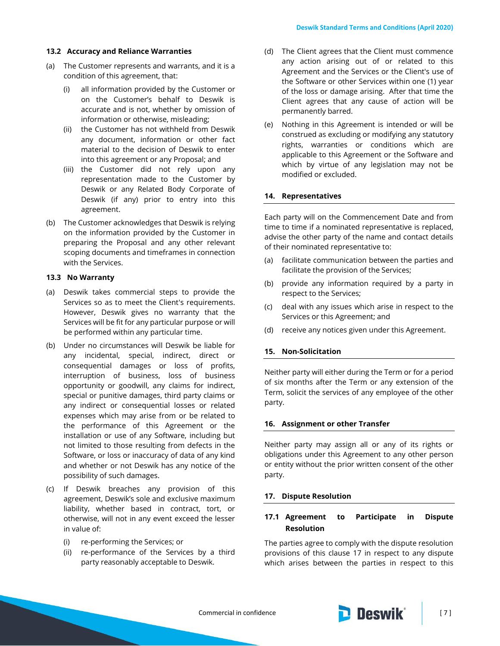### **13.2 Accuracy and Reliance Warranties**

- (a) The Customer represents and warrants, and it is a condition of this agreement, that:
	- (i) all information provided by the Customer or on the Customer's behalf to Deswik is accurate and is not, whether by omission of information or otherwise, misleading;
	- (ii) the Customer has not withheld from Deswik any document, information or other fact material to the decision of Deswik to enter into this agreement or any Proposal; and
	- (iii) the Customer did not rely upon any representation made to the Customer by Deswik or any Related Body Corporate of Deswik (if any) prior to entry into this agreement.
- (b) The Customer acknowledges that Deswik is relying on the information provided by the Customer in preparing the Proposal and any other relevant scoping documents and timeframes in connection with the Services.

### **13.3 No Warranty**

- (a) Deswik takes commercial steps to provide the Services so as to meet the Client's requirements. However, Deswik gives no warranty that the Services will be fit for any particular purpose or will be performed within any particular time.
- (b) Under no circumstances will Deswik be liable for any incidental, special, indirect, direct or consequential damages or loss of profits, interruption of business, loss of business opportunity or goodwill, any claims for indirect, special or punitive damages, third party claims or any indirect or consequential losses or related expenses which may arise from or be related to the performance of this Agreement or the installation or use of any Software, including but not limited to those resulting from defects in the Software, or loss or inaccuracy of data of any kind and whether or not Deswik has any notice of the possibility of such damages.
- (c) If Deswik breaches any provision of this agreement, Deswik's sole and exclusive maximum liability, whether based in contract, tort, or otherwise, will not in any event exceed the lesser in value of:
	- (i) re-performing the Services; or
	- (ii) re-performance of the Services by a third party reasonably acceptable to Deswik.
- (d) The Client agrees that the Client must commence any action arising out of or related to this Agreement and the Services or the Client's use of the Software or other Services within one (1) year of the loss or damage arising. After that time the Client agrees that any cause of action will be permanently barred.
- (e) Nothing in this Agreement is intended or will be construed as excluding or modifying any statutory rights, warranties or conditions which are applicable to this Agreement or the Software and which by virtue of any legislation may not be modified or excluded.

#### **14. Representatives**

Each party will on the Commencement Date and from time to time if a nominated representative is replaced, advise the other party of the name and contact details of their nominated representative to:

- (a) facilitate communication between the parties and facilitate the provision of the Services;
- (b) provide any information required by a party in respect to the Services;
- (c) deal with any issues which arise in respect to the Services or this Agreement; and
- (d) receive any notices given under this Agreement.

### **15. Non-Solicitation**

Neither party will either during the Term or for a period of six months after the Term or any extension of the Term, solicit the services of any employee of the other party.

#### **16. Assignment or other Transfer**

Neither party may assign all or any of its rights or obligations under this Agreement to any other person or entity without the prior written consent of the other party.

#### <span id="page-6-0"></span>**17. Dispute Resolution**

# <span id="page-6-1"></span>**17.1 Agreement to Participate in Dispute Resolution**

The parties agree to comply with the dispute resolution provisions of this clause [17](#page-6-0) in respect to any dispute which arises between the parties in respect to this

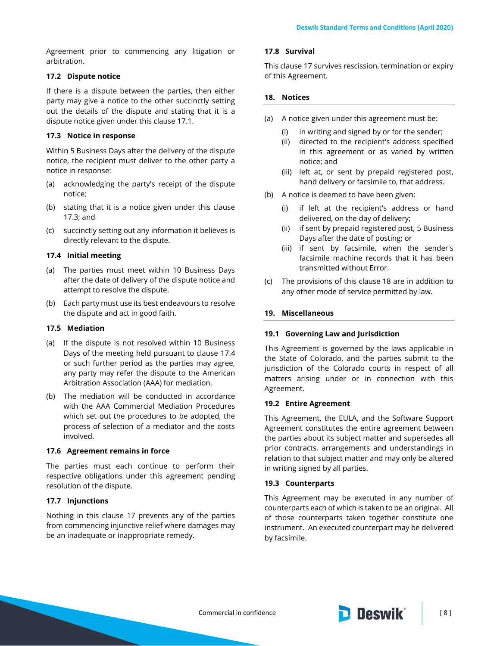Agreement prior to commencing any litigation or arbitration.

# **17.2 Dispute notice**

If there is a dispute between the parties, then either party may give a notice to the other succinctly setting out the details of the dispute and stating that it is a dispute notice given under this clause [17.1.](#page-6-1)

# <span id="page-7-0"></span>**17.3 Notice in response**

Within 5 Business Days after the delivery of the dispute notice, the recipient must deliver to the other party a notice in response:

- (a) acknowledging the party's receipt of the dispute notice;
- (b) stating that it is a notice given under this clause [17.3;](#page-7-0) and
- (c) succinctly setting out any information it believes is directly relevant to the dispute.

# <span id="page-7-1"></span>**17.4 Initial meeting**

- (a) The parties must meet within 10 Business Days after the date of delivery of the dispute notice and attempt to resolve the dispute.
- (b) Each party must use its best endeavours to resolve the dispute and act in good faith.

# **17.5 Mediation**

- (a) If the dispute is not resolved within 10 Business Days of the meeting held pursuant to clause [17.4](#page-7-1) or such further period as the parties may agree, any party may refer the dispute to the American Arbitration Association (AAA) for mediation.
- (b) The mediation will be conducted in accordance with the AAA Commercial Mediation Procedures which set out the procedures to be adopted, the process of selection of a mediator and the costs involved.

# **17.6 Agreement remains in force**

The parties must each continue to perform their respective obligations under this agreement pending resolution of the dispute.

# **17.7 Injunctions**

Nothing in this clause [17](#page-6-0) prevents any of the parties from commencing injunctive relief where damages may be an inadequate or inappropriate remedy.

# **17.8 Survival**

This clause [17](#page-6-0) survives rescission, termination or expiry of this Agreement.

# <span id="page-7-2"></span>**18. Notices**

- (a) A notice given under this agreement must be:
	- (i) in writing and signed by or for the sender;
	- (ii) directed to the recipient's address specified in this agreement or as varied by written notice; and
	- (iii) left at, or sent by prepaid registered post, hand delivery or facsimile to, that address.
- (b) A notice is deemed to have been given:
	- (i) if left at the recipient's address or hand delivered, on the day of delivery;
	- (ii) if sent by prepaid registered post, 5 Business Days after the date of posting; or
	- (iii) if sent by facsimile, when the sender's facsimile machine records that it has been transmitted without Error.
- (c) The provisions of this clause [18](#page-7-2) are in addition to any other mode of service permitted by law.

# **19. Miscellaneous**

# **19.1 Governing Law and Jurisdiction**

This Agreement is governed by the laws applicable in the State of Colorado, and the parties submit to the jurisdiction of the Colorado courts in respect of all matters arising under or in connection with this Agreement.

# **19.2 Entire Agreement**

This Agreement, the EULA, and the Software Support Agreement constitutes the entire agreement between the parties about its subject matter and supersedes all prior contracts, arrangements and understandings in relation to that subject matter and may only be altered in writing signed by all parties.

# **19.3 Counterparts**

This Agreement may be executed in any number of counterparts each of which is taken to be an original. All of those counterparts taken together constitute one instrument. An executed counterpart may be delivered by facsimile.

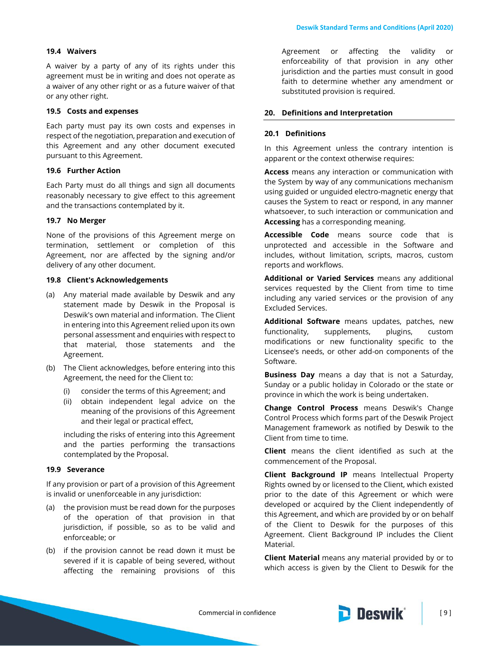## **19.4 Waivers**

A waiver by a party of any of its rights under this agreement must be in writing and does not operate as a waiver of any other right or as a future waiver of that or any other right.

### **19.5 Costs and expenses**

Each party must pay its own costs and expenses in respect of the negotiation, preparation and execution of this Agreement and any other document executed pursuant to this Agreement.

## **19.6 Further Action**

Each Party must do all things and sign all documents reasonably necessary to give effect to this agreement and the transactions contemplated by it.

#### **19.7 No Merger**

None of the provisions of this Agreement merge on termination, settlement or completion of this Agreement, nor are affected by the signing and/or delivery of any other document.

#### **19.8 Client's Acknowledgements**

- (a) Any material made available by Deswik and any statement made by Deswik in the Proposal is Deswik's own material and information. The Client in entering into this Agreement relied upon its own personal assessment and enquiries with respect to that material, those statements and the Agreement.
- (b) The Client acknowledges, before entering into this Agreement, the need for the Client to:
	- (i) consider the terms of this Agreement; and
	- (ii) obtain independent legal advice on the meaning of the provisions of this Agreement and their legal or practical effect,

including the risks of entering into this Agreement and the parties performing the transactions contemplated by the Proposal.

### **19.9 Severance**

If any provision or part of a provision of this Agreement is invalid or unenforceable in any jurisdiction:

- (a) the provision must be read down for the purposes of the operation of that provision in that jurisdiction, if possible, so as to be valid and enforceable; or
- (b) if the provision cannot be read down it must be severed if it is capable of being severed, without affecting the remaining provisions of this

Agreement or affecting the validity or enforceability of that provision in any other jurisdiction and the parties must consult in good faith to determine whether any amendment or substituted provision is required.

#### **20. Definitions and Interpretation**

### **20.1 Definitions**

In this Agreement unless the contrary intention is apparent or the context otherwise requires:

**Access** means any interaction or communication with the System by way of any communications mechanism using guided or unguided electro-magnetic energy that causes the System to react or respond, in any manner whatsoever, to such interaction or communication and **Accessing** has a corresponding meaning.

**Accessible Code** means source code that is unprotected and accessible in the Software and includes, without limitation, scripts, macros, custom reports and workflows.

**Additional or Varied Services** means any additional services requested by the Client from time to time including any varied services or the provision of any Excluded Services.

**Additional Software** means updates, patches, new functionality, supplements, plugins, custom modifications or new functionality specific to the Licensee's needs, or other add-on components of the Software.

**Business Day** means a day that is not a Saturday, Sunday or a public holiday in Colorado or the state or province in which the work is being undertaken.

**Change Control Process** means Deswik's Change Control Process which forms part of the Deswik Project Management framework as notified by Deswik to the Client from time to time.

**Client** means the client identified as such at the commencement of the Proposal.

**Client Background IP** means Intellectual Property Rights owned by or licensed to the Client, which existed prior to the date of this Agreement or which were developed or acquired by the Client independently of this Agreement, and which are provided by or on behalf of the Client to Deswik for the purposes of this Agreement. Client Background IP includes the Client Material.

**Client Material** means any material provided by or to which access is given by the Client to Deswik for the

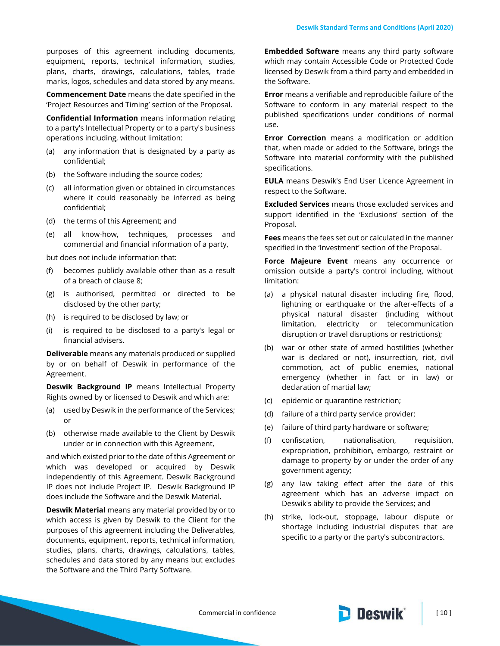purposes of this agreement including documents, equipment, reports, technical information, studies, plans, charts, drawings, calculations, tables, trade marks, logos, schedules and data stored by any means.

**Commencement Date** means the date specified in the 'Project Resources and Timing' section of the Proposal.

**Confidential Information** means information relating to a party's Intellectual Property or to a party's business operations including, without limitation:

- (a) any information that is designated by a party as confidential;
- (b) the Software including the source codes;
- (c) all information given or obtained in circumstances where it could reasonably be inferred as being confidential;
- (d) the terms of this Agreement; and
- (e) all know-how, techniques, processes and commercial and financial information of a party,

but does not include information that:

- (f) becomes publicly available other than as a result of a breach of clause [8;](#page-4-0)
- (g) is authorised, permitted or directed to be disclosed by the other party;
- (h) is required to be disclosed by law; or
- (i) is required to be disclosed to a party's legal or financial advisers.

**Deliverable** means any materials produced or supplied by or on behalf of Deswik in performance of the Agreement.

**Deswik Background IP** means Intellectual Property Rights owned by or licensed to Deswik and which are:

- (a) used by Deswik in the performance of the Services; or
- (b) otherwise made available to the Client by Deswik under or in connection with this Agreement,

and which existed prior to the date of this Agreement or which was developed or acquired by Deswik independently of this Agreement. Deswik Background IP does not include Project IP. Deswik Background IP does include the Software and the Deswik Material.

**Deswik Material** means any material provided by or to which access is given by Deswik to the Client for the purposes of this agreement including the Deliverables, documents, equipment, reports, technical information, studies, plans, charts, drawings, calculations, tables, schedules and data stored by any means but excludes the Software and the Third Party Software.

**Embedded Software** means any third party software which may contain Accessible Code or Protected Code licensed by Deswik from a third party and embedded in the Software.

**Error** means a verifiable and reproducible failure of the Software to conform in any material respect to the published specifications under conditions of normal use.

**Error Correction** means a modification or addition that, when made or added to the Software, brings the Software into material conformity with the published specifications.

**EULA** means Deswik's End User Licence Agreement in respect to the Software.

**Excluded Services** means those excluded services and support identified in the 'Exclusions' section of the Proposal.

**Fees** means the fees set out or calculated in the manner specified in the 'Investment' section of the Proposal.

**Force Majeure Event** means any occurrence or omission outside a party's control including, without limitation:

- (a) a physical natural disaster including fire, flood, lightning or earthquake or the after-effects of a physical natural disaster (including without limitation, electricity or telecommunication disruption or travel disruptions or restrictions);
- (b) war or other state of armed hostilities (whether war is declared or not), insurrection, riot, civil commotion, act of public enemies, national emergency (whether in fact or in law) or declaration of martial law;
- (c) epidemic or quarantine restriction;
- (d) failure of a third party service provider;
- (e) failure of third party hardware or software;
- (f) confiscation, nationalisation, requisition, expropriation, prohibition, embargo, restraint or damage to property by or under the order of any government agency;
- (g) any law taking effect after the date of this agreement which has an adverse impact on Deswik's ability to provide the Services; and
- (h) strike, lock-out, stoppage, labour dispute or shortage including industrial disputes that are specific to a party or the party's subcontractors.



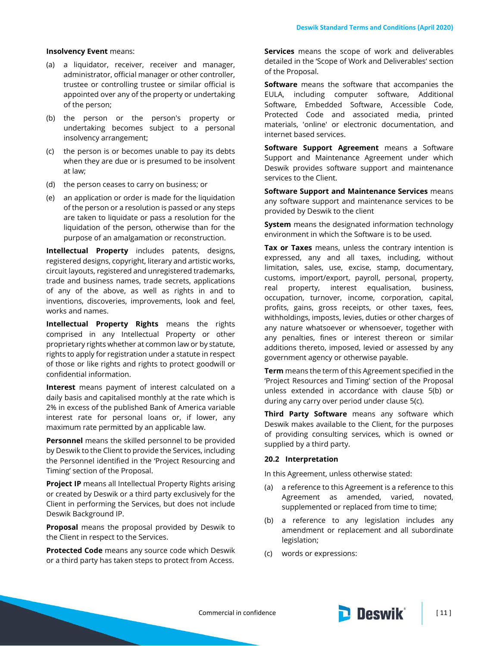#### **Insolvency Event** means:

- (a) a liquidator, receiver, receiver and manager, administrator, official manager or other controller, trustee or controlling trustee or similar official is appointed over any of the property or undertaking of the person;
- (b) the person or the person's property or undertaking becomes subject to a personal insolvency arrangement;
- (c) the person is or becomes unable to pay its debts when they are due or is presumed to be insolvent at law;
- (d) the person ceases to carry on business; or
- (e) an application or order is made for the liquidation of the person or a resolution is passed or any steps are taken to liquidate or pass a resolution for the liquidation of the person, otherwise than for the purpose of an amalgamation or reconstruction.

**Intellectual Property** includes patents, designs, registered designs, copyright, literary and artistic works, circuit layouts, registered and unregistered trademarks, trade and business names, trade secrets, applications of any of the above, as well as rights in and to inventions, discoveries, improvements, look and feel, works and names.

**Intellectual Property Rights** means the rights comprised in any Intellectual Property or other proprietary rights whether at common law or by statute, rights to apply for registration under a statute in respect of those or like rights and rights to protect goodwill or confidential information.

**Interest** means payment of interest calculated on a daily basis and capitalised monthly at the rate which is 2% in excess of the published Bank of America variable interest rate for personal loans or, if lower, any maximum rate permitted by an applicable law.

**Personnel** means the skilled personnel to be provided by Deswik to the Client to provide the Services, including the Personnel identified in the 'Project Resourcing and Timing' section of the Proposal.

**Project IP** means all Intellectual Property Rights arising or created by Deswik or a third party exclusively for the Client in performing the Services, but does not include Deswik Background IP.

**Proposal** means the proposal provided by Deswik to the Client in respect to the Services.

**Protected Code** means any source code which Deswik or a third party has taken steps to protect from Access. **Services** means the scope of work and deliverables detailed in the 'Scope of Work and Deliverables' section of the Proposal.

**Software** means the software that accompanies the EULA, including computer software, Additional Software, Embedded Software, Accessible Code, Protected Code and associated media, printed materials, 'online' or electronic documentation, and internet based services.

**Software Support Agreement** means a Software Support and Maintenance Agreement under which Deswik provides software support and maintenance services to the Client.

**Software Support and Maintenance Services** means any software support and maintenance services to be provided by Deswik to the client

**System** means the designated information technology environment in which the Software is to be used.

**Tax or Taxes** means, unless the contrary intention is expressed, any and all taxes, including, without limitation, sales, use, excise, stamp, documentary, customs, import/export, payroll, personal, property, real property, interest equalisation, business, occupation, turnover, income, corporation, capital, profits, gains, gross receipts, or other taxes, fees, withholdings, imposts, levies, duties or other charges of any nature whatsoever or whensoever, together with any penalties, fines or interest thereon or similar additions thereto, imposed, levied or assessed by any government agency or otherwise payable.

**Term** means the term of this Agreement specified in the 'Project Resources and Timing' section of the Proposal unless extended in accordance with clause [5\(b\)](#page-3-0) or during any carry over period under clause [5\(c\).](#page-3-1)

**Third Party Software** means any software which Deswik makes available to the Client, for the purposes of providing consulting services, which is owned or supplied by a third party.

#### **20.2 Interpretation**

In this Agreement, unless otherwise stated:

- (a) a reference to this Agreement is a reference to this Agreement as amended, varied, novated, supplemented or replaced from time to time;
- (b) a reference to any legislation includes any amendment or replacement and all subordinate legislation;
- (c) words or expressions: